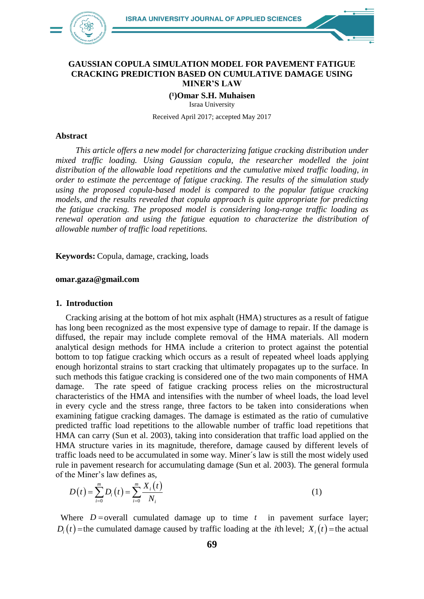

#### **GAUSSIAN COPULA SIMULATION MODEL FOR PAVEMENT FATIGUE CRACKING PREDICTION BASED ON CUMULATIVE DAMAGE USING MINER'S LAW**

**(¹)Omar S.H. Muhaisen**  Israa University

Received April 2017; accepted May 2017

#### **Abstract**

*This article offers a new model for characterizing fatigue cracking distribution under mixed traffic loading. Using Gaussian copula, the researcher modelled the joint distribution of the allowable load repetitions and the cumulative mixed traffic loading, in order to estimate the percentage of fatigue cracking. The results of the simulation study using the proposed copula-based model is compared to the popular fatigue cracking models, and the results revealed that copula approach is quite appropriate for predicting the fatigue cracking. The proposed model is considering long-range traffic loading as renewal operation and using the fatigue equation to characterize the distribution of allowable number of traffic load repetitions.*

**Keywords:** Copula, damage, cracking, loads

#### **omar.gaza@gmail.com**

#### **1. Introduction**

Cracking arising at the bottom of hot mix asphalt (HMA) structures as a result of fatigue has long been recognized as the most expensive type of damage to repair. If the damage is diffused, the repair may include complete removal of the HMA materials. All modern analytical design methods for HMA include a criterion to protect against the potential bottom to top fatigue cracking which occurs as a result of repeated wheel loads applying enough horizontal strains to start cracking that ultimately propagates up to the surface. In such methods this fatigue cracking is considered one of the two main components of HMA damage. The rate speed of fatigue cracking process relies on the microstructural characteristics of the HMA and intensifies with the number of wheel loads, the load level in every cycle and the stress range, three factors to be taken into considerations when examining fatigue cracking damages. The damage is estimated as the ratio of cumulative predicted traffic load repetitions to the allowable number of traffic load repetitions that HMA can carry (Sun et al. 2003), taking into consideration that traffic load applied on the HMA structure varies in its magnitude, therefore, damage caused by different levels of traffic loads need to be accumulated in some way. Miner´s law is still the most widely used rule in pavement research for accumulating damage (Sun et al. 2003). The general formula of the Miner's law defines as,<br> $D(t) = \sum_{m=0}^{m} D_{m}(t) = \sum_{m=0}^{m} X_{i}(t)$ 

$$
D(t) = \sum_{i=0}^{m} D_i(t) = \sum_{i=0}^{m} \frac{X_i(t)}{N_i}
$$
 (1)

Where  $D =$  overall cumulated damage up to time  $t$  in pavement surface layer;  $D_i(t)$  = the cumulated damage caused by traffic loading at the *i*th level;  $X_i(t)$  = the actual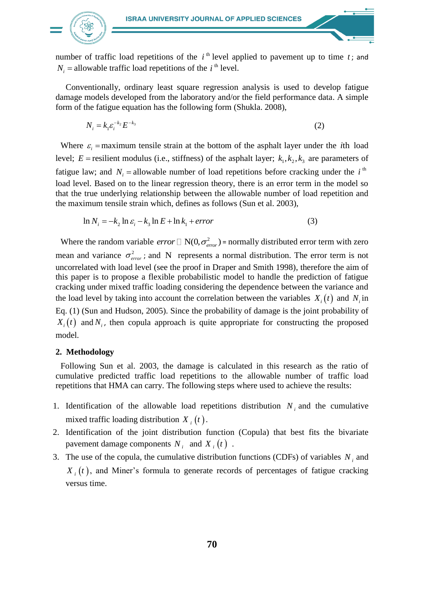

number of traffic load repetitions of the  $i<sup>th</sup>$  level applied to pavement up to time  $t$ ; and  $N_i$  = allowable traffic load repetitions of the *i*<sup>th</sup> level.

Conventionally, ordinary least square regression analysis is used to develop fatigue damage models developed from the laboratory and/or the field performance data. A simple form of the fatigue equation has the following form (Shukla. 2008),

$$
N_i = k_1 \varepsilon_i^{-k_2} E^{-k_3}
$$
 (2)

Where  $\varepsilon_i$  = maximum tensile strain at the bottom of the asphalt layer under the *i*th load level;  $E$  = resilient modulus (i.e., stiffness) of the asphalt layer;  $k_1, k_2, k_3$  are parameters of fatigue law; and  $N_i$  = allowable number of load repetitions before cracking under the *i*<sup>th</sup> load level. Based on to the linear regression theory, there is an error term in the model so that the true underlying relationship between the allowable number of load repetition and the maximum tensile strain which, defines as follows (Sun et al. 2003),

$$
\ln N_i = -k_2 \ln \varepsilon_i - k_3 \ln E + \ln k_1 + error \tag{3}
$$

Where the random variable *error*  $\Box$  N(0, $\sigma_{error}^2$ ) = normally distributed error term with zero mean and variance  $\sigma_{\text{error}}^2$ ; and N represents a normal distribution. The error term is not uncorrelated with load level (see the proof in Draper and Smith 1998), therefore the aim of this paper is to propose a flexible probabilistic model to handle the prediction of fatigue cracking under mixed traffic loading considering the dependence between the variance and the load level by taking into account the correlation between the variables  $X_i(t)$  and  $N_i$  in Eq. (1) (Sun and Hudson, 2005). Since the probability of damage is the joint probability of  $X_i(t)$  and  $N_i$ , then copula approach is quite appropriate for constructing the proposed model.

### **2. Methodology**

Following Sun et al. 2003, the damage is calculated in this research as the ratio of cumulative predicted traffic load repetitions to the allowable number of traffic load repetitions that HMA can carry. The following steps where used to achieve the results:

- 1. Identification of the allowable load repetitions distribution  $N_i$  and the cumulative mixed traffic loading distribution  $X_i(t)$ .
- 2. Identification of the joint distribution function (Copula) that best fits the bivariate pavement damage components  $N_i$  and  $X_i(t)$ .
- 3. The use of the copula, the cumulative distribution functions (CDFs) of variables  $N_i$  and  $X_i(t)$ , and Miner's formula to generate records of percentages of fatigue cracking versus time.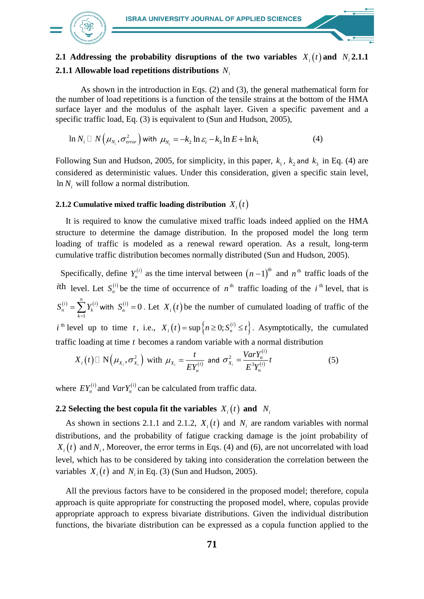

# **2.1** Addressing the probability disruptions of the two variables  $X_i(t)$  and  $N_i$  **2.1.1 2.1.1 Allowable load repetitions distributions**  *Ni*

As shown in the introduction in Eqs. (2) and (3), the general mathematical form for the number of load repetitions is a function of the tensile strains at the bottom of the HMA surface layer and the modulus of the asphalt layer. Given a specific pavement and a specific traffic load, Eq. (3) is equivalent to (Sun and Hudson, 2005),

$$
\ln N_i \square N\left(\mu_{N_i}, \sigma_{error}^2\right) \text{ with } \mu_{N_i} = -k_2 \ln \varepsilon_i - k_3 \ln E + \ln k_1 \tag{4}
$$

Following Sun and Hudson, 2005, for simplicity, in this paper,  $k_1$ ,  $k_2$  and  $k_3$  in Eq. (4) are considered as deterministic values. Under this consideration, given a specific stain level,  $\ln N_i$  will follow a normal distribution.

## **2.1.2** Cumulative mixed traffic loading distribution  $X_i(t)$

It is required to know the cumulative mixed traffic loads indeed applied on the HMA structure to determine the damage distribution. In the proposed model the long term loading of traffic is modeled as a renewal reward operation. As a result, long-term cumulative traffic distribution becomes normally distributed (Sun and Hudson, 2005).

Specifically, define  $Y_n^{(i)}$  as the time interval between  $(n-1)^{th}$  and  $n^{th}$  traffic loads of the *i*th level. Let  $S_n^{(i)}$  be the time of occurrence of  $n^{\text{th}}$  traffic loading of the *i*<sup>th</sup> level, that is  $(i)$   $\nabla v^{(i)}$ 1 *i*)  $\sum_{i=1}^{n} V(i$  $n = \angle$ <sup>1</sup> k *k*  $S_n^{(i)} = \sum Y_i$  $=\sum_{k=1} Y_k^{(i)}$  with  $S_n^{(i)}=0$  $S_n^{(i)} = 0$ . Let  $X_i(t)$  be the number of cumulated loading of traffic of the  $i^{th}$  level up to time t, i.e.,  $X_i(t) = \sup\left\{n \geq 0; S_n^{(i)} \leq t\right\}$ . Asymptotically, the cumulated traffic loading at time *t* becomes a random variable with a normal distribution

$$
X_i(t) \Box \mathbf{N}\Big(\mu_{X_i}, \sigma_{X_i}^2\Big) \text{ with } \mu_{X_i} = \frac{t}{E Y_n^{(i)}} \text{ and } \sigma_{X_i}^2 = \frac{Var Y_n^{(i)}}{E^3 Y_n^{(i)}} t \tag{5}
$$

where  $EY_n^{(i)}$  and  $VarY_n^{(i)}$  can be calculated from traffic data.

## **2.2** Selecting the best copula fit the variables  $X_i(t)$  and  $N_i$

As shown in sections 2.1.1 and 2.1.2,  $X_i(t)$  and  $N_i$  are random variables with normal distributions, and the probability of fatigue cracking damage is the joint probability of  $X_i(t)$  and  $N_i$ , Moreover, the error terms in Eqs. (4) and (6), are not uncorrelated with load level, which has to be considered by taking into consideration the correlation between the variables  $X_i(t)$  and  $N_i$  in Eq. (3) (Sun and Hudson, 2005).

All the previous factors have to be considered in the proposed model; therefore, copula approach is quite appropriate for constructing the proposed model, where, copulas provide appropriate approach to express bivariate distributions. Given the individual distribution functions, the bivariate distribution can be expressed as a copula function applied to the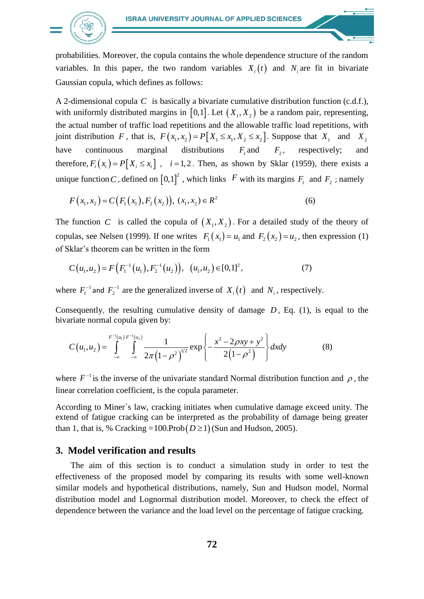

probabilities. Moreover, the copula contains the whole dependence structure of the random variables. In this paper, the two random variables  $X_i(t)$  and  $N_i$  are fit in bivariate Gaussian copula, which defines as follows:

A 2-dimensional copula *C* is basically a bivariate cumulative distribution function (c.d.f.), with uniformly distributed margins in  $[0,1]$ . Let  $(X_1, X_2)$  be a random pair, representing, the actual number of traffic load repetitions and the allowable traffic load repetitions, with the actual number of traffic load repetitions and the allowable traffic load repetitions, with<br>joint distribution F, that is,  $F(x_1, x_2) = P[X_1 \le x_1, X_2 \le x_2]$ . Suppose that  $X_1$  and  $X_2$ have continuous marginal distributions  $F_1$  and  $F_2$ , respectively; and therefore,  $F_i(x_i) = P[X_i \le x_i]$ ,  $i = 1, 2$ . Then, as shown by Sklar (1959), there exists a unique function *C*, defined on  $[0,1]^2$ , which links F with its margins  $F_1$  and  $F_2$ ; namely

$$
F(x_1, x_2) = C(F_1(x_1), F_2(x_2)), (x_1, x_2) \in R^2
$$
\n(6)

The function C is called the copula of  $(X_1, X_2)$ . For a detailed study of the theory of copulas, see Nelsen (1999). If one writes  $F_1(x_1) = u_1$  and  $F_2(x_2) = u_2$ , then expression (1) of Sklar's theorem can be written in the form

$$
C(u_1, u_2) = F\left(F_1^{-1}(u_1), F_2^{-1}(u_2)\right), \ (u_1, u_2) \in [0, 1]^2, \tag{7}
$$

where  $F_1^{-1}$  and  $F_2^{-1}$  are the generalized inverse of  $X_i(t)$  and  $N_i$ , respectively.

bivariate normal copula given by:

Consequently, the resulting cumulative density of damage *D*, Eq. (1), is equal to the bivariate normal copula given by:  
\n
$$
C(u_1, u_2) = \int_{-\infty}^{F^{-1}(u_1)F^{-1}(u_2)} \int_{-\infty}^{u_2} \frac{1}{2\pi(1-\rho^2)^{1/2}} \exp\left\{-\frac{x^2 - 2\rho xy + y^2}{2(1-\rho^2)}\right\} dxdy
$$
\n(8)

where  $F^{-1}$  is the inverse of the univariate standard Normal distribution function and  $\rho$ , the linear correlation coefficient, is the copula parameter.

According to Miner´s law, cracking initiates when cumulative damage exceed unity. The extend of fatigue cracking can be interpreted as the probability of damage being greater than 1, that is, % Cracking =  $100$ .Prob $(D \ge 1)$  (Sun and Hudson, 2005).

### **3. Model verification and results**

The aim of this section is to conduct a simulation study in order to test the effectiveness of the proposed model by comparing its results with some well-known similar models and hypothetical distributions, namely, Sun and Hudson model, Normal distribution model and Lognormal distribution model. Moreover, to check the effect of dependence between the variance and the load level on the percentage of fatigue cracking.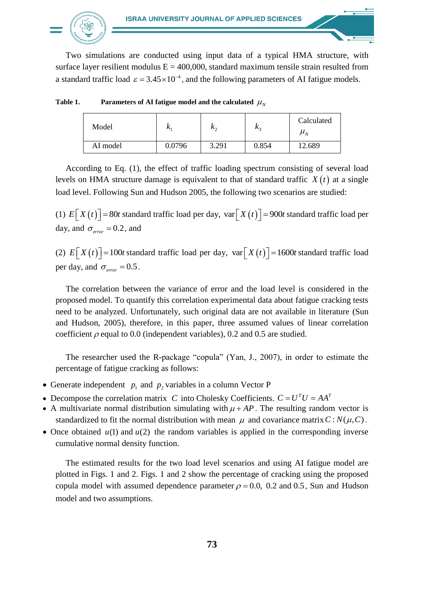

Two simulations are conducted using input data of a typical HMA structure, with surface layer resilient modulus  $E = 400,000$ , standard maximum tensile strain resulted from a standard traffic load  $\varepsilon = 3.45 \times 10^{-4}$ , and the following parameters of AI fatigue models.

| Model    | r      | $\mathbf{v}$ | $\mathsf{r}$ | Calculated<br>$\boldsymbol{\mu}_N$ |
|----------|--------|--------------|--------------|------------------------------------|
| AI model | 0.0796 | 3.291        | 0.854        | 12.689                             |

Table 1. **Parameters of AI fatigue model and the calculated**  $\mu_N$ 

According to Eq. (1), the effect of traffic loading spectrum consisting of several load levels on HMA structure damage is equivalent to that of standard traffic  $X(t)$  at a single load level. Following Sun and Hudson 2005, the following two scenarios are studied:

(1)  $E[X(t)] = 80t$  standard traffic load per day,  $var[X(t)] = 900t$  standard traffic load per day, and  $\sigma_{\text{error}} = 0.2$ , and

(2)  $E[X(t)] = 100t$  standard traffic load per day,  $var[X(t)] = 1600t$  standard traffic load per day, and  $\sigma_{\text{error}} = 0.5$ .

The correlation between the variance of error and the load level is considered in the proposed model. To quantify this correlation experimental data about fatigue cracking tests need to be analyzed. Unfortunately, such original data are not available in literature (Sun and Hudson, 2005), therefore, in this paper, three assumed values of linear correlation coefficient  $\rho$  equal to 0.0 (independent variables), 0.2 and 0.5 are studied.

The researcher used the R-package "copula" (Yan, J., 2007), in order to estimate the percentage of fatigue cracking as follows:

- Generate independent  $p_1$  and  $p_2$  variables in a column Vector P
- Decompose the correlation matrix *C* into Cholesky Coefficients.  $C = U<sup>T</sup>U = AA<sup>T</sup>$
- A multivariate normal distribution simulating with  $\mu + AP$ . The resulting random vector is standardized to fit the normal distribution with mean  $\mu$  and covariance matrix  $C$ :  $N(\mu, C)$ .
- Once obtained  $u(1)$  and  $u(2)$  the random variables is applied in the corresponding inverse cumulative normal density function.

The estimated results for the two load level scenarios and using AI fatigue model are plotted in Figs. 1 and 2. Figs. 1 and 2 show the percentage of cracking using the proposed copula model with assumed dependence parameter  $\rho = 0.0$ , 0.2 and 0.5, Sun and Hudson model and two assumptions.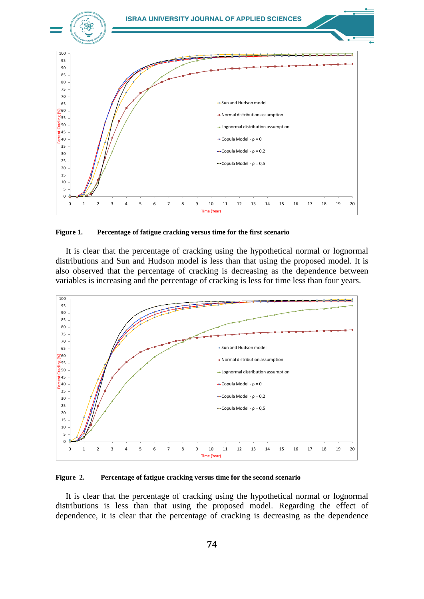

**Figure 1. Percentage of fatigue cracking versus time for the first scenario**

It is clear that the percentage of cracking using the hypothetical normal or lognormal distributions and Sun and Hudson model is less than that using the proposed model. It is also observed that the percentage of cracking is decreasing as the dependence between variables is increasing and the percentage of cracking is less for time less than four years.



**Figure 2. Percentage of fatigue cracking versus time for the second scenario**

It is clear that the percentage of cracking using the hypothetical normal or lognormal distributions is less than that using the proposed model. Regarding the effect of dependence, it is clear that the percentage of cracking is decreasing as the dependence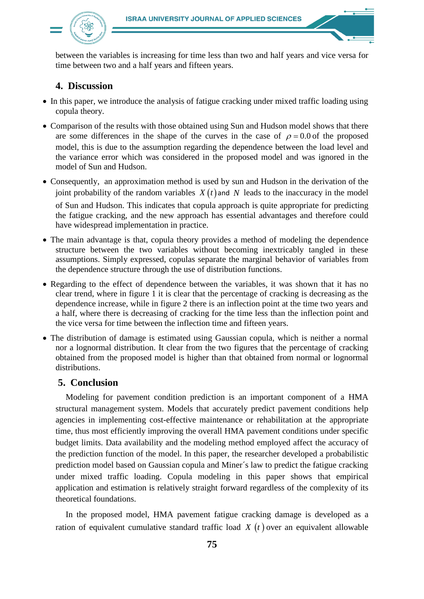

between the variables is increasing for time less than two and half years and vice versa for time between two and a half years and fifteen years.

## **4. Discussion**

- In this paper, we introduce the analysis of fatigue cracking under mixed traffic loading using copula theory.
- Comparison of the results with those obtained using Sun and Hudson model shows that there are some differences in the shape of the curves in the case of  $\rho = 0.0$  of the proposed model, this is due to the assumption regarding the dependence between the load level and the variance error which was considered in the proposed model and was ignored in the model of Sun and Hudson.
- Consequently, an approximation method is used by sun and Hudson in the derivation of the joint probability of the random variables  $X(t)$  and N leads to the inaccuracy in the model of Sun and Hudson. This indicates that copula approach is quite appropriate for predicting the fatigue cracking, and the new approach has essential advantages and therefore could have widespread implementation in practice.
- The main advantage is that, copula theory provides a method of modeling the dependence structure between the two variables without becoming inextricably tangled in these assumptions. Simply expressed, copulas separate the marginal behavior of variables from the dependence structure through the use of distribution functions.
- Regarding to the effect of dependence between the variables, it was shown that it has no clear trend, where in figure 1 it is clear that the percentage of cracking is decreasing as the dependence increase, while in figure 2 there is an inflection point at the time two years and a half, where there is decreasing of cracking for the time less than the inflection point and the vice versa for time between the inflection time and fifteen years.
- The distribution of damage is estimated using Gaussian copula, which is neither a normal nor a lognormal distribution. It clear from the two figures that the percentage of cracking obtained from the proposed model is higher than that obtained from normal or lognormal distributions.

### **5. Conclusion**

Modeling for pavement condition prediction is an important component of a HMA structural management system. Models that accurately predict pavement conditions help agencies in implementing cost-effective maintenance or rehabilitation at the appropriate time, thus most efficiently improving the overall HMA pavement conditions under specific budget limits. Data availability and the modeling method employed affect the accuracy of the prediction function of the model. In this paper, the researcher developed a probabilistic prediction model based on Gaussian copula and Miner´s law to predict the fatigue cracking under mixed traffic loading. Copula modeling in this paper shows that empirical application and estimation is relatively straight forward regardless of the complexity of its theoretical foundations.

In the proposed model, HMA pavement fatigue cracking damage is developed as a ration of equivalent cumulative standard traffic load  $X(t)$  over an equivalent allowable